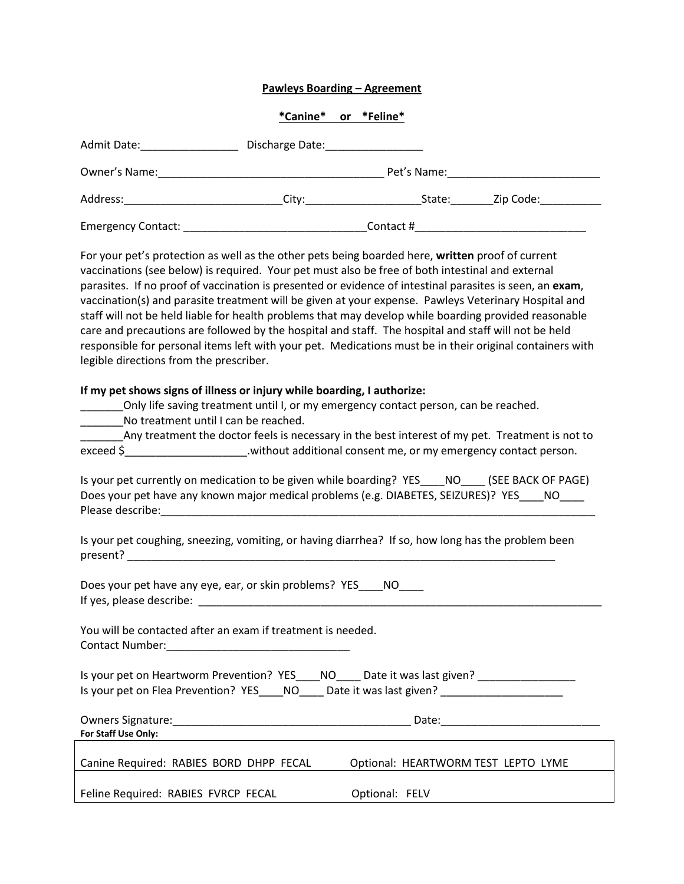## **Pawleys Boarding – Agreement**

## **\*Canine\* or \*Feline\***

| Admit Date:        | Discharge Date: |             |           |  |
|--------------------|-----------------|-------------|-----------|--|
| Owner's Name:      |                 | Pet's Name: |           |  |
| Address:           | City:           | State:      | Zip Code: |  |
| Emergency Contact: |                 | Contact #   |           |  |

For your pet's protection as well as the other pets being boarded here, **written** proof of current vaccinations (see below) is required. Your pet must also be free of both intestinal and external parasites. If no proof of vaccination is presented or evidence of intestinal parasites is seen, an **exam**, vaccination(s) and parasite treatment will be given at your expense. Pawleys Veterinary Hospital and staff will not be held liable for health problems that may develop while boarding provided reasonable care and precautions are followed by the hospital and staff. The hospital and staff will not be held responsible for personal items left with your pet. Medications must be in their original containers with legible directions from the prescriber.

## **If my pet shows signs of illness or injury while boarding, I authorize:**

\_\_\_\_\_\_\_Only life saving treatment until I, or my emergency contact person, can be reached.

No treatment until I can be reached.

Any treatment the doctor feels is necessary in the best interest of my pet. Treatment is not to exceed \$ \_\_\_\_\_\_\_\_\_\_\_\_\_\_\_\_\_\_\_\_\_.without additional consent me, or my emergency contact person.

| Is your pet currently on medication to be given while boarding? YES NO             | (SEE BACK OF PAGE) |
|------------------------------------------------------------------------------------|--------------------|
| Does your pet have any known major medical problems (e.g. DIABETES, SEIZURES)? YES |                    |
| Please describe:                                                                   |                    |

Is your pet coughing, sneezing, vomiting, or having diarrhea? If so, how long has the problem been present?

Does your pet have any eye, ear, or skin problems? YES NO If yes, please describe:

You will be contacted after an exam if treatment is needed. Contact Number:\_\_\_\_\_\_\_\_\_\_\_\_\_\_\_\_\_\_\_\_\_\_\_\_\_\_\_\_\_\_

Is your pet on Heartworm Prevention? YES\_\_\_\_NO\_\_\_\_ Date it was last given? \_\_\_\_\_\_\_\_\_\_\_\_\_\_\_\_\_\_ Is your pet on Flea Prevention? YES and Note it was last given?

| Owners Signature:                       | Date:                               |
|-----------------------------------------|-------------------------------------|
| For Staff Use Only:                     |                                     |
|                                         |                                     |
| Canine Required: RABIES BORD DHPP FECAL | Optional: HEARTWORM TEST LEPTO LYME |
|                                         |                                     |

Feline Required: RABIES FVRCP FECAL Optional: FELV